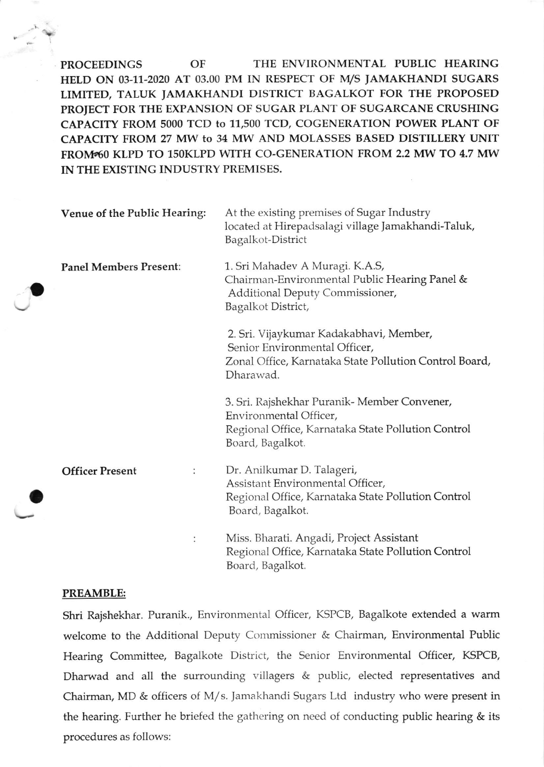PROCEEDINGS OF THE ENVIRONMENTAL PUBLIC HEARING HELD ON 03-11-2020 AT 03.00 PM IN RESPECT OF M/S JAMAKHANDI SUGARS LIMITED, TALUK JAMAKHANDI DISTRICT BAGALKOT FOR THE PROPOSED PROIECT FOR THE EXPANSION OF SUGAR PLANT OF SUGARCANE CRUSHING CAPACITY FROM 5000 TCD to 11,500 TCD, COGENERATION POWER PLANT OF CAPACITY FROM 27 MW tO 34 MW AND MOLASSES BASED DISTILLERY UNIT FROM 60 KLPD TO 150KLPD WITH CO-GENERATION FROM 2.2 MW TO 4.7 MW IN THE EXISTING INDUSTRY PREMISES.

| Venue of the Public Hearing:  | At the existing premises of Sugar Industry<br>located at Hirepadsalagi village Jamakhandi-Taluk,<br>Bagalkot-District                            |
|-------------------------------|--------------------------------------------------------------------------------------------------------------------------------------------------|
| <b>Panel Members Present:</b> | 1. Sri Mahadev A Muragi. K.A.S,<br>Chairman-Environmental Public Hearing Panel &<br>Additional Deputy Commissioner,<br>Bagalkot District,        |
|                               | 2. Sri. Vijaykumar Kadakabhavi, Member,<br>Senior Environmental Officer,<br>Zonal Office, Karnataka State Pollution Control Board,<br>Dharawad.  |
|                               | 3. Sri. Rajshekhar Puranik- Member Convener,<br>Environmental Officer,<br>Regional Office, Karnataka State Pollution Control<br>Board, Bagalkot. |
| <b>Officer Present</b>        | Dr. Anilkumar D. Talageri,<br>Assistant Environmental Officer,<br>Regional Office, Karnataka State Pollution Control<br>Board, Bagalkot.         |
|                               | Miss. Bharati. Angadi, Project Assistant<br>Regional Office, Karnataka State Pollution Control<br>Board, Bagalkot.                               |

## PREAMBLE:

o

o

Shri Rajshekhar. Puranik., Environmental Officer, KSPCB, Bagalkote extended a warm welcome to the Additional Deputy Commissioner & Chairman, Environmental Public Hearing Committee, Bagalkote District, the Senior Environmental Officer, KSPCB, Dharwad and all the surrounding villagers & public, elected representatives and Chairman, MD & officers of M/ s. Jamakhandi Sugars Ltd industry who were present in the hearing. Further he briefed the gathering on need of conducting public hearing  $\&$  its procedures as follows: